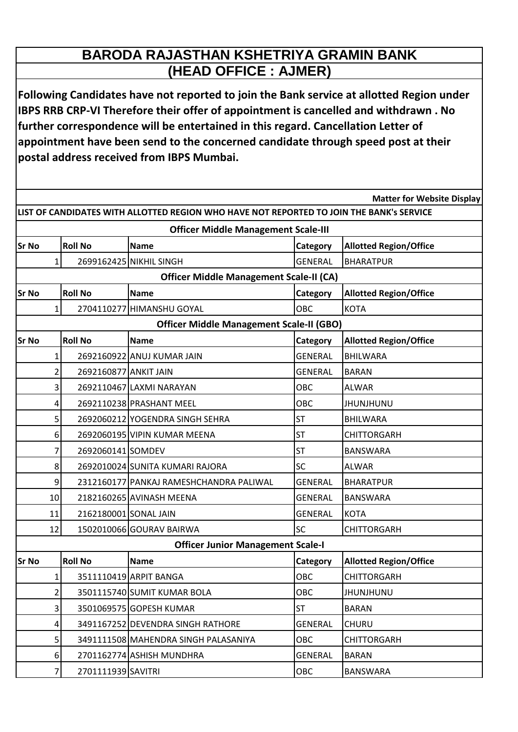## **BARODA RAJASTHAN KSHETRIYA GRAMIN BANK (HEAD OFFICE : AJMER)**

**Following Candidates have not reported to join the Bank service at allotted Region under IBPS RRB CRP-VI Therefore their offer of appointment is cancelled and withdrawn . No further correspondence will be entertained in this regard. Cancellation Letter of appointment have been send to the concerned candidate through speed post at their postal address received from IBPS Mumbai.**

| <b>Matter for Website Display</b>                                                        |                |                       |                                          |                |                               |  |  |  |  |  |
|------------------------------------------------------------------------------------------|----------------|-----------------------|------------------------------------------|----------------|-------------------------------|--|--|--|--|--|
| LIST OF CANDIDATES WITH ALLOTTED REGION WHO HAVE NOT REPORTED TO JOIN THE BANK's SERVICE |                |                       |                                          |                |                               |  |  |  |  |  |
| <b>Officer Middle Management Scale-III</b>                                               |                |                       |                                          |                |                               |  |  |  |  |  |
| Sr No                                                                                    |                | <b>Roll No</b>        | <b>Name</b>                              | Category       | <b>Allotted Region/Office</b> |  |  |  |  |  |
|                                                                                          | 1              |                       | 2699162425 NIKHIL SINGH                  | <b>GENERAL</b> | <b>BHARATPUR</b>              |  |  |  |  |  |
| <b>Officer Middle Management Scale-II (CA)</b>                                           |                |                       |                                          |                |                               |  |  |  |  |  |
| lSr No                                                                                   |                | <b>Roll No</b>        | <b>Name</b>                              | Category       | <b>Allotted Region/Office</b> |  |  |  |  |  |
|                                                                                          | 1              |                       | 2704110277 HIMANSHU GOYAL                | OBC            | <b>KOTA</b>                   |  |  |  |  |  |
| <b>Officer Middle Management Scale-II (GBO)</b>                                          |                |                       |                                          |                |                               |  |  |  |  |  |
| <b>Sr No</b>                                                                             |                | <b>Roll No</b>        | <b>Name</b>                              | Category       | <b>Allotted Region/Office</b> |  |  |  |  |  |
|                                                                                          | 1              |                       | 2692160922 ANUJ KUMAR JAIN               | <b>GENERAL</b> | <b>BHILWARA</b>               |  |  |  |  |  |
|                                                                                          | 2              | 2692160877 ANKIT JAIN |                                          | <b>GENERAL</b> | <b>BARAN</b>                  |  |  |  |  |  |
|                                                                                          | 3              |                       | 2692110467 LAXMI NARAYAN                 | OBC            | <b>ALWAR</b>                  |  |  |  |  |  |
|                                                                                          | 4              |                       | 2692110238 PRASHANT MEEL                 | OBC            | JHUNJHUNU                     |  |  |  |  |  |
|                                                                                          | 5              |                       | 2692060212 YOGENDRA SINGH SEHRA          | <b>ST</b>      | <b>BHILWARA</b>               |  |  |  |  |  |
|                                                                                          | 6              |                       | 2692060195 VIPIN KUMAR MEENA             | ST             | CHITTORGARH                   |  |  |  |  |  |
|                                                                                          | 7              | 2692060141 SOMDEV     |                                          | <b>ST</b>      | <b>BANSWARA</b>               |  |  |  |  |  |
|                                                                                          | 8              |                       | 2692010024 SUNITA KUMARI RAJORA          | <b>SC</b>      | <b>ALWAR</b>                  |  |  |  |  |  |
|                                                                                          | 9              |                       | 2312160177 PANKAJ RAMESHCHANDRA PALIWAL  | <b>GENERAL</b> | <b>BHARATPUR</b>              |  |  |  |  |  |
|                                                                                          | 10             |                       | 2182160265 AVINASH MEENA                 | <b>GENERAL</b> | <b>BANSWARA</b>               |  |  |  |  |  |
|                                                                                          | 11             | 2162180001 SONAL JAIN |                                          | <b>GENERAL</b> | <b>KOTA</b>                   |  |  |  |  |  |
|                                                                                          | 12             |                       | 1502010066 GOURAV BAIRWA                 | SC             | <b>CHITTORGARH</b>            |  |  |  |  |  |
|                                                                                          |                |                       | <b>Officer Junior Management Scale-I</b> |                |                               |  |  |  |  |  |
| <b>Sr No</b>                                                                             |                | <b>Roll No</b>        | <b>Name</b>                              | Category       | <b>Allotted Region/Office</b> |  |  |  |  |  |
|                                                                                          | $\mathbf{1}$   |                       | 3511110419 ARPIT BANGA                   | OBC            | CHITTORGARH                   |  |  |  |  |  |
|                                                                                          | $\overline{2}$ |                       | 3501115740 SUMIT KUMAR BOLA              | OBC            | <b>JHUNJHUNU</b>              |  |  |  |  |  |
|                                                                                          | $\overline{3}$ |                       | 3501069575 GOPESH KUMAR                  | <b>ST</b>      | <b>BARAN</b>                  |  |  |  |  |  |
|                                                                                          | 4              |                       | 3491167252 DEVENDRA SINGH RATHORE        | <b>GENERAL</b> | <b>CHURU</b>                  |  |  |  |  |  |
|                                                                                          | 5              |                       | 3491111508 MAHENDRA SINGH PALASANIYA     | OBC            | <b>CHITTORGARH</b>            |  |  |  |  |  |
|                                                                                          | 6              |                       | 2701162774 ASHISH MUNDHRA                | <b>GENERAL</b> | <b>BARAN</b>                  |  |  |  |  |  |
|                                                                                          | 7              | 2701111939 SAVITRI    |                                          | OBC            | BANSWARA                      |  |  |  |  |  |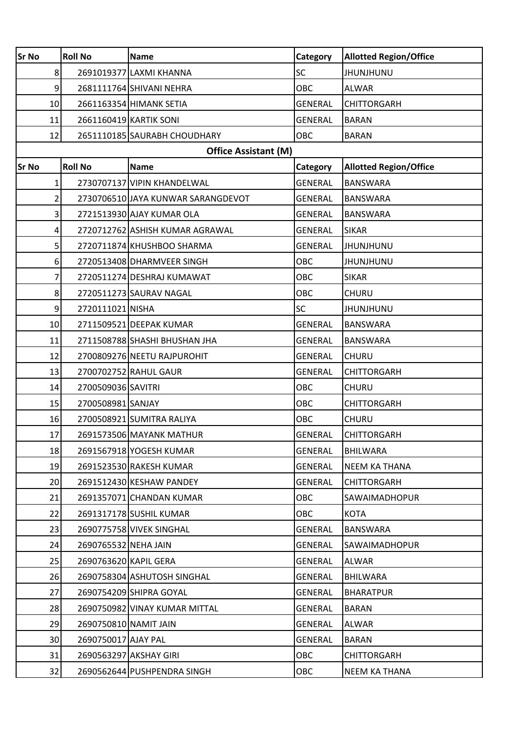| <b>Sr No</b>    | <b>Roll No</b>              | <b>Name</b>                        | Category       | <b>Allotted Region/Office</b> |  |  |  |  |
|-----------------|-----------------------------|------------------------------------|----------------|-------------------------------|--|--|--|--|
| 8 <sup>1</sup>  |                             | 2691019377 LAXMI KHANNA            | <b>SC</b>      | <b>JHUNJHUNU</b>              |  |  |  |  |
| 9               |                             | 2681111764 SHIVANI NEHRA           | <b>OBC</b>     | <b>ALWAR</b>                  |  |  |  |  |
| 10              |                             | 2661163354 HIMANK SETIA            | <b>GENERAL</b> | <b>CHITTORGARH</b>            |  |  |  |  |
| 11              |                             | 2661160419 KARTIK SONI             | <b>GENERAL</b> | <b>BARAN</b>                  |  |  |  |  |
| 12              |                             | 2651110185 SAURABH CHOUDHARY       | <b>OBC</b>     | <b>BARAN</b>                  |  |  |  |  |
|                 | <b>Office Assistant (M)</b> |                                    |                |                               |  |  |  |  |
| <b>Sr No</b>    | <b>Roll No</b>              | <b>Name</b>                        | Category       | <b>Allotted Region/Office</b> |  |  |  |  |
| $1\vert$        |                             | 2730707137 VIPIN KHANDELWAL        | <b>GENERAL</b> | <b>BANSWARA</b>               |  |  |  |  |
| $\mathsf{2}$    |                             | 2730706510 JAYA KUNWAR SARANGDEVOT | <b>GENERAL</b> | <b>BANSWARA</b>               |  |  |  |  |
| $\overline{3}$  |                             | 2721513930 AJAY KUMAR OLA          | <b>GENERAL</b> | <b>BANSWARA</b>               |  |  |  |  |
| 4               |                             | 2720712762 ASHISH KUMAR AGRAWAL    | <b>GENERAL</b> | <b>SIKAR</b>                  |  |  |  |  |
| 5               |                             | 2720711874 KHUSHBOO SHARMA         | <b>GENERAL</b> | <b>JHUNJHUNU</b>              |  |  |  |  |
| 6 <sup>1</sup>  |                             | 2720513408 DHARMVEER SINGH         | OBC            | <b>JHUNJHUNU</b>              |  |  |  |  |
| 7               |                             | 2720511274 DESHRAJ KUMAWAT         | <b>OBC</b>     | <b>SIKAR</b>                  |  |  |  |  |
| 8 <sup>1</sup>  |                             | 2720511273 SAURAV NAGAL            | <b>OBC</b>     | <b>CHURU</b>                  |  |  |  |  |
| 9               | 2720111021 NISHA            |                                    | <b>SC</b>      | <b>JHUNJHUNU</b>              |  |  |  |  |
| 10              |                             | 2711509521 DEEPAK KUMAR            | <b>GENERAL</b> | <b>BANSWARA</b>               |  |  |  |  |
| 11              |                             | 2711508788 SHASHI BHUSHAN JHA      | <b>GENERAL</b> | <b>BANSWARA</b>               |  |  |  |  |
| 12              |                             | 2700809276 NEETU RAJPUROHIT        | <b>GENERAL</b> | <b>CHURU</b>                  |  |  |  |  |
| 13              |                             | 2700702752 RAHUL GAUR              | <b>GENERAL</b> | <b>CHITTORGARH</b>            |  |  |  |  |
| 14              | 2700509036 SAVITRI          |                                    | <b>OBC</b>     | <b>CHURU</b>                  |  |  |  |  |
| 15              | 2700508981 SANJAY           |                                    | OBC            | <b>CHITTORGARH</b>            |  |  |  |  |
| 16              |                             | 2700508921 SUMITRA RALIYA          | OBC            | <b>CHURU</b>                  |  |  |  |  |
| 17              |                             | 2691573506 MAYANK MATHUR           | <b>GENERAL</b> | <b>CHITTORGARH</b>            |  |  |  |  |
| 18              |                             | 2691567918 YOGESH KUMAR            | <b>GENERAL</b> | BHILWARA                      |  |  |  |  |
| 19              |                             | 2691523530 RAKESH KUMAR            | <b>GENERAL</b> | <b>NEEM KA THANA</b>          |  |  |  |  |
| 20              |                             | 2691512430 KESHAW PANDEY           | <b>GENERAL</b> | <b>CHITTORGARH</b>            |  |  |  |  |
| 21              |                             | 2691357071 CHANDAN KUMAR           | <b>OBC</b>     | SAWAIMADHOPUR                 |  |  |  |  |
| 22              |                             | 2691317178 SUSHIL KUMAR            | OBC            | <b>KOTA</b>                   |  |  |  |  |
| 23              |                             | 2690775758 VIVEK SINGHAL           | <b>GENERAL</b> | <b>BANSWARA</b>               |  |  |  |  |
| 24              | 2690765532 NEHA JAIN        |                                    | <b>GENERAL</b> | SAWAIMADHOPUR                 |  |  |  |  |
| 25              | 2690763620 KAPIL GERA       |                                    | <b>GENERAL</b> | <b>ALWAR</b>                  |  |  |  |  |
| 26              |                             | 2690758304 ASHUTOSH SINGHAL        | <b>GENERAL</b> | <b>BHILWARA</b>               |  |  |  |  |
| 27              |                             | 2690754209 SHIPRA GOYAL            | <b>GENERAL</b> | <b>BHARATPUR</b>              |  |  |  |  |
| 28              |                             | 2690750982 VINAY KUMAR MITTAL      | <b>GENERAL</b> | <b>BARAN</b>                  |  |  |  |  |
| 29              | 2690750810 NAMIT JAIN       |                                    | <b>GENERAL</b> | <b>ALWAR</b>                  |  |  |  |  |
| 30 <sup>2</sup> | 2690750017 AJAY PAL         |                                    | <b>GENERAL</b> | <b>BARAN</b>                  |  |  |  |  |
| 31              |                             | 2690563297 AKSHAY GIRI             | OBC            | <b>CHITTORGARH</b>            |  |  |  |  |
| 32              |                             | 2690562644 PUSHPENDRA SINGH        | OBC            | <b>NEEM KA THANA</b>          |  |  |  |  |